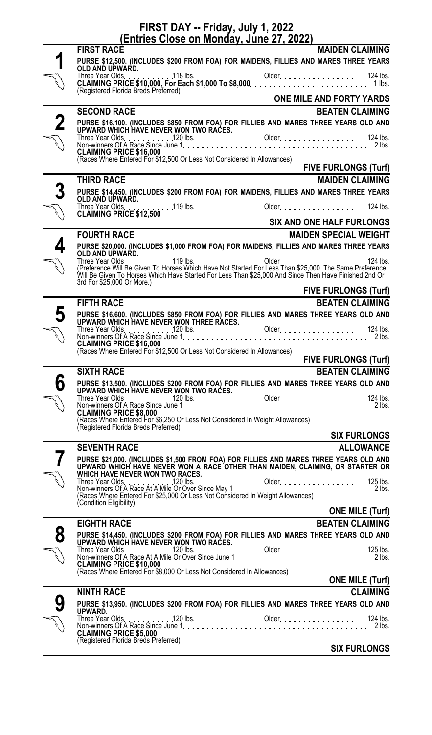## **FIRST DAY -- Friday, July 1, 2022**

| <u>(Entries Close on Monday, June 27, 2022)</u> |                                                                                                                                                                                                                                        |                                  |  |  |
|-------------------------------------------------|----------------------------------------------------------------------------------------------------------------------------------------------------------------------------------------------------------------------------------------|----------------------------------|--|--|
|                                                 | <b>FIRST RACE</b>                                                                                                                                                                                                                      | <b>MAIDEN CLAIMING</b>           |  |  |
|                                                 | PURSE \$12,500. (INCLUDES \$200 FROM FOA) FOR MAIDENS, FILLIES AND MARES THREE YEARS<br>OLD AND UPWARD.                                                                                                                                |                                  |  |  |
|                                                 | (Registered Florida Breds Preferred)                                                                                                                                                                                                   |                                  |  |  |
|                                                 |                                                                                                                                                                                                                                        | ONE MILE AND FORTY YARDS         |  |  |
|                                                 | <b>SECOND RACE</b>                                                                                                                                                                                                                     | <b>BEATEN CLAIMING</b>           |  |  |
|                                                 | PURSE \$16,100. (INCLUDES \$850 FROM FOA) FOR FILLIES AND MARES THREE YEARS OLD AND                                                                                                                                                    |                                  |  |  |
|                                                 |                                                                                                                                                                                                                                        |                                  |  |  |
|                                                 |                                                                                                                                                                                                                                        |                                  |  |  |
|                                                 | (Races Where Entered For \$12,500 Or Less Not Considered In Allowances)                                                                                                                                                                | <b>FIVE FURLONGS (Turf)</b>      |  |  |
|                                                 | <b>THIRD RACE</b>                                                                                                                                                                                                                      | <b>MAIDEN CLAIMING</b>           |  |  |
| 3                                               | PURSE \$14,450. (INCLUDES \$200 FROM FOA) FOR MAIDENS, FILLIES AND MARES THREE YEARS<br>OLD AND UPWARD.                                                                                                                                |                                  |  |  |
|                                                 | CLAIMING PRICE \$12,500 119 lbs.                                                                                                                                                                                                       | 124 lbs.<br>Older.               |  |  |
|                                                 |                                                                                                                                                                                                                                        | <b>SIX AND ONE HALF FURLONGS</b> |  |  |
|                                                 | <b>FOURTH RACE</b>                                                                                                                                                                                                                     | <b>MAIDEN SPECIAL WEIGHT</b>     |  |  |
|                                                 | PURSE \$20,000. (INCLUDES \$1,000 FROM FOA) FOR MAIDENS, FILLIES AND MARES THREE YEARS<br>OLD AND UPWARD.                                                                                                                              |                                  |  |  |
|                                                 | $.119$ lbs.                                                                                                                                                                                                                            | 124 lbs.                         |  |  |
|                                                 | 3rd For \$25,000 Or More.)                                                                                                                                                                                                             |                                  |  |  |
|                                                 |                                                                                                                                                                                                                                        | <b>FIVE FURLONGS (Turf)</b>      |  |  |
|                                                 | <b>FIFTH RACE</b>                                                                                                                                                                                                                      | <b>BEATEN CLAIMING</b>           |  |  |
| 5                                               | PURSE \$16,600. (INCLUDES \$850 FROM FOA) FOR FILLIES AND MARES THREE YEARS OLD AND<br>UPWARD WHICH HAVE NEVER WON THREE RACES.                                                                                                        |                                  |  |  |
| <b>W</b>                                        | <b>CLAIMING PRICE \$16,000</b><br>(Races Where Entered For \$12,500 Or Less Not Considered In Allowances)                                                                                                                              |                                  |  |  |
|                                                 |                                                                                                                                                                                                                                        | <b>FIVE FURLONGS (Turf)</b>      |  |  |
|                                                 | <b>SIXTH RACE</b>                                                                                                                                                                                                                      | <b>BEATEN CLAIMING</b>           |  |  |
| 6                                               |                                                                                                                                                                                                                                        |                                  |  |  |
| .<br>L                                          |                                                                                                                                                                                                                                        |                                  |  |  |
|                                                 |                                                                                                                                                                                                                                        |                                  |  |  |
|                                                 |                                                                                                                                                                                                                                        |                                  |  |  |
|                                                 |                                                                                                                                                                                                                                        | <b>SIX FURLONGS</b>              |  |  |
|                                                 | <b>SEVENTH RACE</b>                                                                                                                                                                                                                    | <b>ALLOWANCE</b>                 |  |  |
|                                                 | PURSE \$21,000. (INCLUDES \$1,500 FROM FOA) FOR FILLIES AND MARES THREE YEARS OLD AND<br>UPWARD WHICH HAVE NEVER WON A RACE OTHER THAN MAIDEN, CLAIMING, OR STARTER OR WHICH HAVE NEVER WON TWO RACES.                                 |                                  |  |  |
|                                                 | Three Year Olds<br>Non-winners Of A Race At A Mile Or Over Since May 1.                                                                                                                                                                |                                  |  |  |
|                                                 |                                                                                                                                                                                                                                        |                                  |  |  |
|                                                 | (Condition Eligibility)                                                                                                                                                                                                                | <b>ONE MILE (Turf)</b>           |  |  |
|                                                 | <b>EIGHTH RACE</b>                                                                                                                                                                                                                     | <b>BEATEN CLAIMING</b>           |  |  |
| 8                                               |                                                                                                                                                                                                                                        |                                  |  |  |
|                                                 | PURSE \$14,450. (INCLUDES \$200 FROM FOA) FOR FILLIES AND MARES THREE YEARS OLD AND<br>UPWARD WHICH HAVE NEVER WON TWO RACES.<br>Three Year Olds. [125 lbs. [126] Older Content Content of the Year Olds. [125 lbs. [125 lbs. [125 lbs |                                  |  |  |
| م<br>مراجع                                      | <b>CLAIMING PRICE \$10,000</b>                                                                                                                                                                                                         |                                  |  |  |
|                                                 | (Races Where Entered For \$8,000 Or Less Not Considered In Allowances)                                                                                                                                                                 |                                  |  |  |
|                                                 |                                                                                                                                                                                                                                        | <b>ONE MILE (Turf)</b>           |  |  |
|                                                 | <b>NINTH RACE</b>                                                                                                                                                                                                                      | <b>CLAIMING</b>                  |  |  |
|                                                 | PURSE \$13,950. (INCLUDES \$200 FROM FOA) FOR FILLIES AND MARES THREE YEARS OLD AND                                                                                                                                                    |                                  |  |  |
|                                                 |                                                                                                                                                                                                                                        |                                  |  |  |
|                                                 | (Registered Florida Breds Preferred)                                                                                                                                                                                                   |                                  |  |  |
|                                                 |                                                                                                                                                                                                                                        | <b>SIX FURLONGS</b>              |  |  |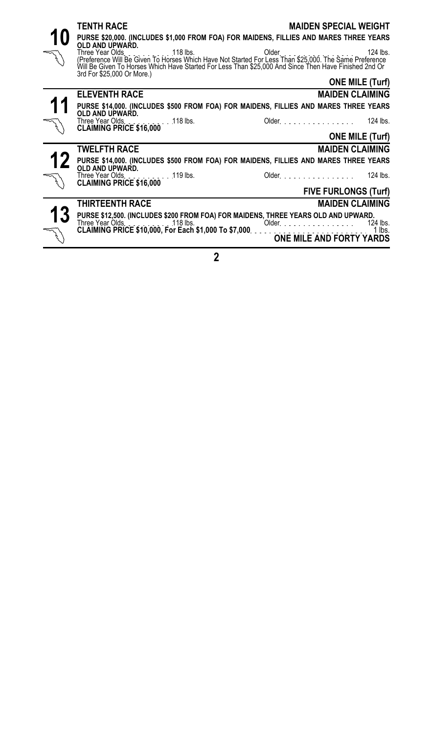|    | <b>TENTH RACE</b><br>PURSE \$20,000. (INCLUDES \$1,000 FROM FOA) FOR MAIDENS, FILLIES AND MARES THREE YEARS                                            | <b>MAIDEN SPECIAL WEIGHT</b> |
|----|--------------------------------------------------------------------------------------------------------------------------------------------------------|------------------------------|
|    | OLD AND UPWARD.<br>Will Be Given To Horses Which Have Started For Less Than \$25,000 And Since Then Have Finished 2nd Or<br>3rd For \$25,000 Or More.) | 124 $\mathsf{ls}$ .          |
|    |                                                                                                                                                        | <b>ONE MILE (Turf)</b>       |
|    | <b>ELEVENTH RACE</b>                                                                                                                                   | <b>MAIDEN CLAIMING</b>       |
| 11 | PURSE \$14,000. (INCLUDES \$500 FROM FOA) FOR MAIDENS, FILLIES AND MARES THREE YEARS<br>OLD AND UPWARD.                                                |                              |
|    | Three Year Olds. 118 lbs. CLAIMING PRICE \$16,000                                                                                                      | Older. 124 lbs.              |
|    |                                                                                                                                                        | <b>ONE MILE (Turf)</b>       |
|    | <b>TWELFTH RACE</b>                                                                                                                                    | <b>MAIDEN CLAIMING</b>       |
| 12 | PURSE \$14,000. (INCLUDES \$500 FROM FOA) FOR MAIDENS, FILLIES AND MARES THREE YEARS<br>OLD AND UPWARD.                                                |                              |
|    | Three Year Olds. 119 lbs. CLAIMING PRICE \$16,000                                                                                                      | Older 124 lbs.               |
|    |                                                                                                                                                        | <b>FIVE FURLONGS (Turf)</b>  |
|    | <b>THIRTEENTH RACE</b>                                                                                                                                 | <b>MAIDEN CLAIMING</b>       |
| 13 | PURSE \$12,500. (INCLUDES \$200 FROM FOA) FOR MAIDENS, THREE YEARS OLD AND UPWARD.                                                                     |                              |
|    |                                                                                                                                                        |                              |

**2**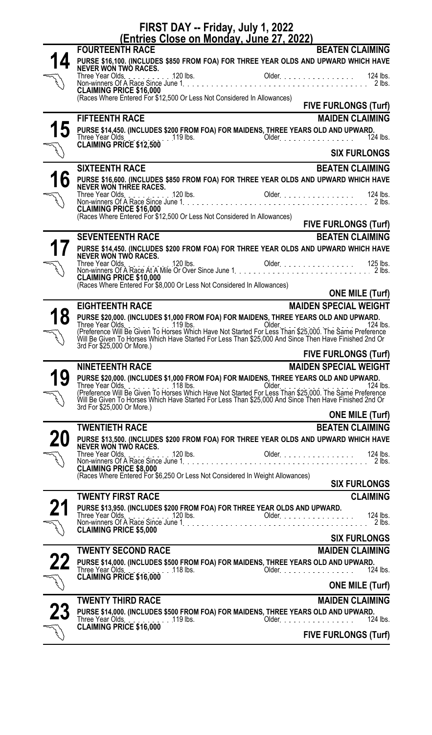| FIRST DAY -- Friday, July 1, 2022<br><u>(Entries Close on Monday, June 27, 2022)</u> |                                                                                                                                                                                                                                                                      |  |  |  |
|--------------------------------------------------------------------------------------|----------------------------------------------------------------------------------------------------------------------------------------------------------------------------------------------------------------------------------------------------------------------|--|--|--|
|                                                                                      | <b>BEATEN CLAIMING</b><br><b>FOURTEENTH RACE</b>                                                                                                                                                                                                                     |  |  |  |
|                                                                                      | PURSE \$16,100. (INCLUDES \$850 FROM FOA) FOR THREE YEAR OLDS AND UPWARD WHICH HAVE<br>NEVER WON TWO RACES.                                                                                                                                                          |  |  |  |
|                                                                                      |                                                                                                                                                                                                                                                                      |  |  |  |
|                                                                                      | <b>CLAIMING PRICE \$16,000</b><br>(Races Where Entered For \$12,500 Or Less Not Considered In Allowances)                                                                                                                                                            |  |  |  |
|                                                                                      | <b>FIVE FURLONGS (Turf)</b>                                                                                                                                                                                                                                          |  |  |  |
|                                                                                      | <b>FIFTEENTH RACE</b><br><b>MAIDEN CLAIMING</b>                                                                                                                                                                                                                      |  |  |  |
|                                                                                      | Three Year Olds<br>CLAIMING PRICE \$12,500<br>124 lbs.                                                                                                                                                                                                               |  |  |  |
|                                                                                      | <b>SIX FURLONGS</b>                                                                                                                                                                                                                                                  |  |  |  |
|                                                                                      | <b>SIXTEENTH RACE</b><br><b>BEATEN CLAIMING</b>                                                                                                                                                                                                                      |  |  |  |
|                                                                                      | PURSE \$16,600. (INCLUDES \$850 FROM FOA) FOR THREE YEAR OLDS AND UPWARD WHICH HAVE<br>NEVER WON THREE RACES. 120 lbs. (2014) Chlor Cluber Chang Year 124 lbs.                                                                                                       |  |  |  |
|                                                                                      | 120 lbs.<br>Older. 124 lbs.<br>Three Year Olds.                                                                                                                                                                                                                      |  |  |  |
|                                                                                      | (Races Where Entered For \$12,500 Or Less Not Considered In Allowances)<br><b>FIVE FURLONGS (Turf)</b>                                                                                                                                                               |  |  |  |
|                                                                                      | <b>SEVENTEENTH RACE</b><br><b>BEATEN CLAIMING</b>                                                                                                                                                                                                                    |  |  |  |
|                                                                                      | PURSE \$14,450. (INCLUDES \$200 FROM FOA) FOR THREE YEAR OLDS AND UPWARD WHICH HAVE<br>NEVER WON TWO RACES.                                                                                                                                                          |  |  |  |
|                                                                                      | Three Year Olds.<br>.120 lbs.<br>Older.<br>125 lbs.<br>$. 2$ lbs.                                                                                                                                                                                                    |  |  |  |
|                                                                                      | <b>CLAIMING PRICE \$10,000</b><br>CLAIMING PRI∪∟ จาบ,บบบ<br>(Races Where Entered For \$8,000 Or Less Not Considered In Allowances)                                                                                                                                   |  |  |  |
|                                                                                      | <b>ONE MILE (Turf)</b>                                                                                                                                                                                                                                               |  |  |  |
|                                                                                      | <b>MAIDEN SPECIAL WEIGHT</b><br><b>EIGHTEENTH RACE</b>                                                                                                                                                                                                               |  |  |  |
|                                                                                      | PURSE \$20,000. (INCLUDES \$1,000 FROM FOA) FOR MAIDENS, THREE YEARS OLD AND UPWARD.<br>124 lbs.                                                                                                                                                                     |  |  |  |
|                                                                                      |                                                                                                                                                                                                                                                                      |  |  |  |
|                                                                                      | 3rd For \$25,000 Or More.)<br><b>FIVE FURLONGS (Turf)</b>                                                                                                                                                                                                            |  |  |  |
|                                                                                      | <b>NINETEENTH RACE</b><br><b>MAIDEN SPECIAL WEIGHT</b>                                                                                                                                                                                                               |  |  |  |
|                                                                                      |                                                                                                                                                                                                                                                                      |  |  |  |
|                                                                                      | 124 lbs.                                                                                                                                                                                                                                                             |  |  |  |
|                                                                                      | PURSE \$20,000. (INCLUDES \$1,000 FROM FOA) FOR MAIDENS, THREE YEARS OLD AND UPWARD.<br>Three Year Olds. (Preference Will Be Given To Horses Which Have Not Started For Less Than \$25,000. The Same Preference<br>(Preference Will Be<br>3rd For \$25,000 Or More.) |  |  |  |
|                                                                                      | <b>ONE MILE (Turf)</b>                                                                                                                                                                                                                                               |  |  |  |
|                                                                                      | <b>BEATEN CLAIMING</b><br><b>TWENTIETH RACE</b>                                                                                                                                                                                                                      |  |  |  |
|                                                                                      | PURSE \$13,500. (INCLUDES \$200 FROM FOA) FOR THREE YEAR OLDS AND UPWARD WHICH HAVE<br>NEVER WON TWO RACES.                                                                                                                                                          |  |  |  |
|                                                                                      | Older.<br>Three Year Olds.<br>120 lbs.<br>124 lbs.<br>. 2 lbs.                                                                                                                                                                                                       |  |  |  |
|                                                                                      | <b>CLAIMING PRICE \$8,000</b><br>(Races Where Entered For \$6,250 Or Less Not Considered In Weight Allowances)                                                                                                                                                       |  |  |  |
|                                                                                      | <b>SIX FURLONGS</b>                                                                                                                                                                                                                                                  |  |  |  |
|                                                                                      | <b>CLAIMING</b><br><b>TWENTY FIRST RACE</b>                                                                                                                                                                                                                          |  |  |  |
|                                                                                      | PURSE \$13,950. (INCLUDES \$200 FROM FOA) FOR THREE YEAR OLDS AND UPWARD.<br>124 lbs.                                                                                                                                                                                |  |  |  |
|                                                                                      | 2lbs.<br><b>CLAIMING PRICE \$5,000</b><br><b>SIX FURLONGS</b>                                                                                                                                                                                                        |  |  |  |
|                                                                                      | <b>TWENTY SECOND RACE</b><br><b>MAIDEN CLAIMING</b>                                                                                                                                                                                                                  |  |  |  |
|                                                                                      |                                                                                                                                                                                                                                                                      |  |  |  |
|                                                                                      | 124 lbs.<br>CLAIMING PRICE \$16,000                                                                                                                                                                                                                                  |  |  |  |
|                                                                                      | <b>ONE MILE (Turf)</b>                                                                                                                                                                                                                                               |  |  |  |
|                                                                                      | <b>TWENTY THIRD RACE</b><br><b>MAIDEN CLAIMING</b>                                                                                                                                                                                                                   |  |  |  |
|                                                                                      | PURSE \$14,000. (INCLUDES \$500 FROM FOA) FOR MAIDENS, THREE YEARS OLD AND UPWARD.<br>Three Year Olds.<br>CLAIMING PRICE \$16,000<br>124 lbs.<br>$.119$ lbs.<br>Older.                                                                                               |  |  |  |
| }`<br>}                                                                              | <b>FIVE FURLONGS (Turf)</b>                                                                                                                                                                                                                                          |  |  |  |